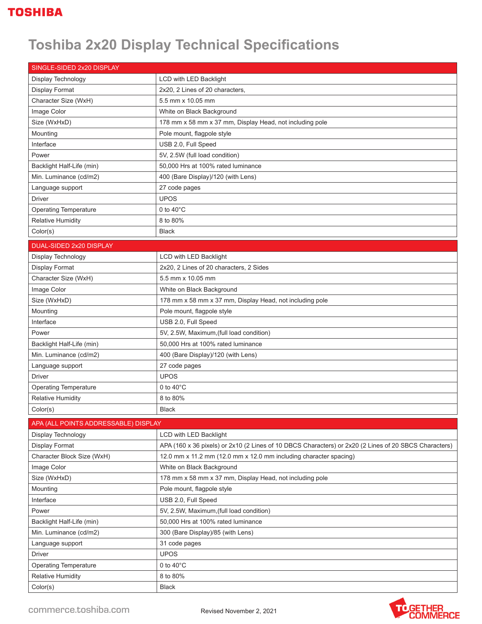## **Toshiba 2x20 Display Technical Specifications**

| SINGLE-SIDED 2x20 DISPLAY            |                                                                                                       |
|--------------------------------------|-------------------------------------------------------------------------------------------------------|
| Display Technology                   | LCD with LED Backlight                                                                                |
| Display Format                       | 2x20, 2 Lines of 20 characters,                                                                       |
| Character Size (WxH)                 | 5.5 mm x 10.05 mm                                                                                     |
| Image Color                          | White on Black Background                                                                             |
| Size (WxHxD)                         | 178 mm x 58 mm x 37 mm, Display Head, not including pole                                              |
| Mounting                             | Pole mount, flagpole style                                                                            |
| Interface                            | USB 2.0, Full Speed                                                                                   |
| Power                                | 5V, 2.5W (full load condition)                                                                        |
| Backlight Half-Life (min)            | 50,000 Hrs at 100% rated luminance                                                                    |
| Min. Luminance (cd/m2)               | 400 (Bare Display)/120 (with Lens)                                                                    |
| Language support                     | 27 code pages                                                                                         |
| <b>Driver</b>                        | <b>UPOS</b>                                                                                           |
| <b>Operating Temperature</b>         | 0 to $40^{\circ}$ C                                                                                   |
| <b>Relative Humidity</b>             | 8 to 80%                                                                                              |
| Color(s)                             | <b>Black</b>                                                                                          |
| DUAL-SIDED 2x20 DISPLAY              |                                                                                                       |
| Display Technology                   | LCD with LED Backlight                                                                                |
| <b>Display Format</b>                | 2x20, 2 Lines of 20 characters, 2 Sides                                                               |
| Character Size (WxH)                 | 5.5 mm x 10.05 mm                                                                                     |
| Image Color                          | White on Black Background                                                                             |
| Size (WxHxD)                         | 178 mm x 58 mm x 37 mm, Display Head, not including pole                                              |
| Mounting                             | Pole mount, flagpole style                                                                            |
| Interface                            | USB 2.0, Full Speed                                                                                   |
| Power                                | 5V, 2.5W, Maximum, (full load condition)                                                              |
| Backlight Half-Life (min)            | 50,000 Hrs at 100% rated luminance                                                                    |
| Min. Luminance (cd/m2)               | 400 (Bare Display)/120 (with Lens)                                                                    |
| Language support                     | 27 code pages                                                                                         |
| <b>Driver</b>                        | <b>UPOS</b>                                                                                           |
| <b>Operating Temperature</b>         | 0 to $40^{\circ}$ C                                                                                   |
| <b>Relative Humidity</b>             | 8 to 80%                                                                                              |
| Color(s)                             | <b>Black</b>                                                                                          |
| APA (ALL POINTS ADDRESSABLE) DISPLAY |                                                                                                       |
| Display Technology                   | <b>LCD with LED Backlight</b>                                                                         |
| <b>Display Format</b>                | APA (160 x 36 pixels) or 2x10 (2 Lines of 10 DBCS Characters) or 2x20 (2 Lines of 20 SBCS Characters) |
| Character Block Size (WxH)           | 12.0 mm x 11.2 mm (12.0 mm x 12.0 mm including character spacing)                                     |
| Image Color                          | White on Black Background                                                                             |
| Size (WxHxD)                         | 178 mm x 58 mm x 37 mm, Display Head, not including pole                                              |
| Mounting                             | Pole mount, flagpole style                                                                            |
| Interface                            | USB 2.0, Full Speed                                                                                   |
| Power                                | 5V, 2.5W, Maximum, (full load condition)                                                              |
| Backlight Half-Life (min)            | 50,000 Hrs at 100% rated luminance                                                                    |
| Min. Luminance (cd/m2)               | 300 (Bare Display)/85 (with Lens)                                                                     |
| Language support                     | 31 code pages                                                                                         |
| Driver                               | <b>UPOS</b>                                                                                           |
| <b>Operating Temperature</b>         | 0 to $40^{\circ}$ C                                                                                   |
| <b>Relative Humidity</b>             | 8 to 80%                                                                                              |
| Color(s)                             | <b>Black</b>                                                                                          |